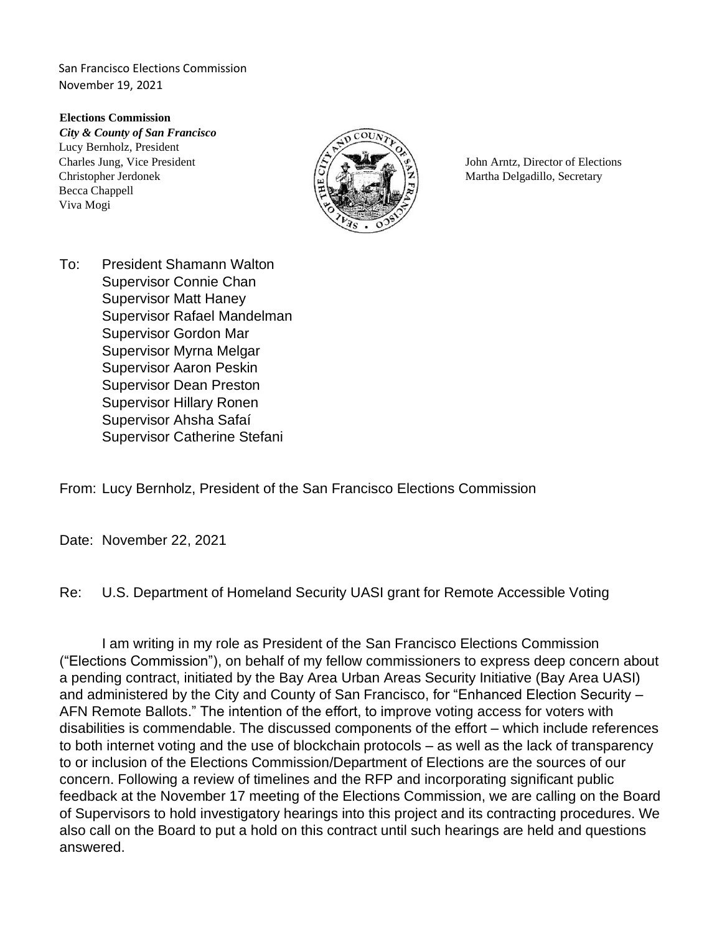**Elections Commission**  *City & County of San Francisco*  Lucy Bernholz, President Charles Jung, Vice President  $\sqrt{S}$   $\sqrt{S}$  John Arntz, Director of Elections Christopher Jerdonek  $\begin{bmatrix} \circ \\ \circ \end{bmatrix}$   $\begin{bmatrix} \circ \\ \circ \end{bmatrix}$   $\begin{bmatrix} \circ \\ \circ \end{bmatrix}$  Martha Delgadillo, Secretary Becca Chappell Viva Mogi



To: President Shamann Walton Supervisor Connie Chan Supervisor Matt Haney Supervisor Rafael Mandelman Supervisor Gordon Mar Supervisor Myrna Melgar Supervisor Aaron Peskin Supervisor Dean Preston Supervisor Hillary Ronen Supervisor Ahsha Safaí Supervisor Catherine Stefani

From: Lucy Bernholz, President of the San Francisco Elections Commission

Date: November 22, 2021

Re: U.S. Department of Homeland Security UASI grant for Remote Accessible Voting

I am writing in my role as President of the San Francisco Elections Commission ("Elections Commission"), on behalf of my fellow commissioners to express deep concern about a pending contract, initiated by the Bay Area Urban Areas Security Initiative (Bay Area UASI) and administered by the City and County of San Francisco, for "Enhanced Election Security – AFN Remote Ballots." The intention of the effort, to improve voting access for voters with disabilities is commendable. The discussed components of the effort – which include references to both internet voting and the use of blockchain protocols – as well as the lack of transparency to or inclusion of the Elections Commission/Department of Elections are the sources of our concern. Following a review of timelines and the RFP and incorporating significant public feedback at the November 17 meeting of the Elections Commission, we are calling on the Board of Supervisors to hold investigatory hearings into this project and its contracting procedures. We also call on the Board to put a hold on this contract until such hearings are held and questions answered.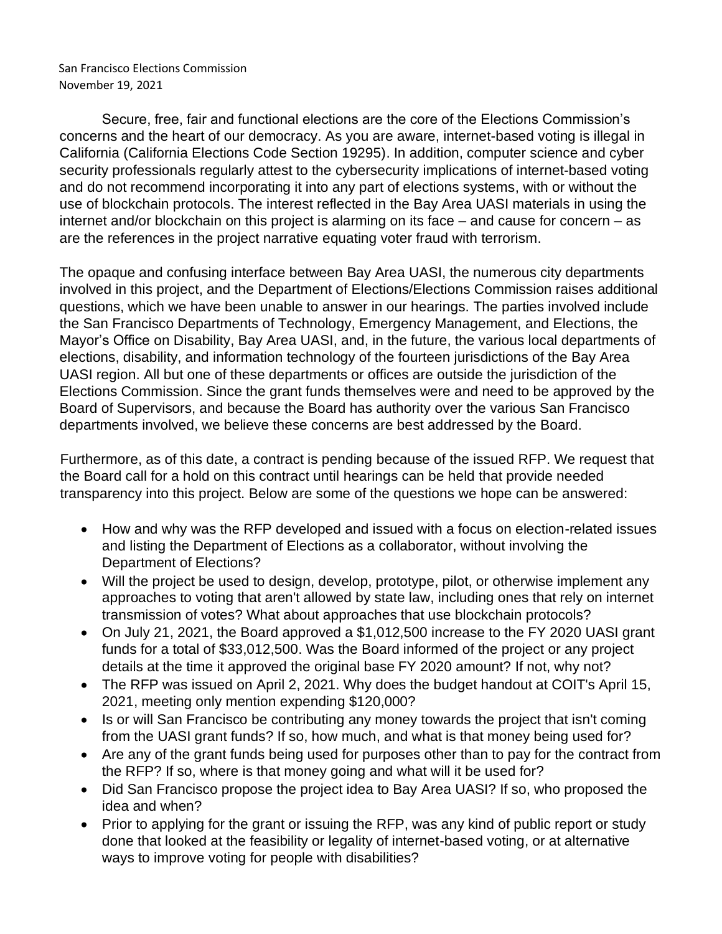Secure, free, fair and functional elections are the core of the Elections Commission's concerns and the heart of our democracy. As you are aware, internet-based voting is illegal in California (California Elections Code Section 19295). In addition, computer science and cyber security professionals regularly attest to the cybersecurity implications of internet-based voting and do not recommend incorporating it into any part of elections systems, with or without the use of blockchain protocols. The interest reflected in the Bay Area UASI materials in using the internet and/or blockchain on this project is alarming on its face – and cause for concern – as are the references in the project narrative equating voter fraud with terrorism.

The opaque and confusing interface between Bay Area UASI, the numerous city departments involved in this project, and the Department of Elections/Elections Commission raises additional questions, which we have been unable to answer in our hearings. The parties involved include the San Francisco Departments of Technology, Emergency Management, and Elections, the Mayor's Office on Disability, Bay Area UASI, and, in the future, the various local departments of elections, disability, and information technology of the fourteen jurisdictions of the Bay Area UASI region. All but one of these departments or offices are outside the jurisdiction of the Elections Commission. Since the grant funds themselves were and need to be approved by the Board of Supervisors, and because the Board has authority over the various San Francisco departments involved, we believe these concerns are best addressed by the Board.

Furthermore, as of this date, a contract is pending because of the issued RFP. We request that the Board call for a hold on this contract until hearings can be held that provide needed transparency into this project. Below are some of the questions we hope can be answered:

- How and why was the RFP developed and issued with a focus on election-related issues and listing the Department of Elections as a collaborator, without involving the Department of Elections?
- Will the project be used to design, develop, prototype, pilot, or otherwise implement any approaches to voting that aren't allowed by state law, including ones that rely on internet transmission of votes? What about approaches that use blockchain protocols?
- On July 21, 2021, the Board approved a \$1,012,500 increase to the FY 2020 UASI grant funds for a total of \$33,012,500. Was the Board informed of the project or any project details at the time it approved the original base FY 2020 amount? If not, why not?
- The RFP was issued on April 2, 2021. Why does the budget handout at COIT's April 15, 2021, meeting only mention expending \$120,000?
- Is or will San Francisco be contributing any money towards the project that isn't coming from the UASI grant funds? If so, how much, and what is that money being used for?
- Are any of the grant funds being used for purposes other than to pay for the contract from the RFP? If so, where is that money going and what will it be used for?
- Did San Francisco propose the project idea to Bay Area UASI? If so, who proposed the idea and when?
- Prior to applying for the grant or issuing the RFP, was any kind of public report or study done that looked at the feasibility or legality of internet-based voting, or at alternative ways to improve voting for people with disabilities?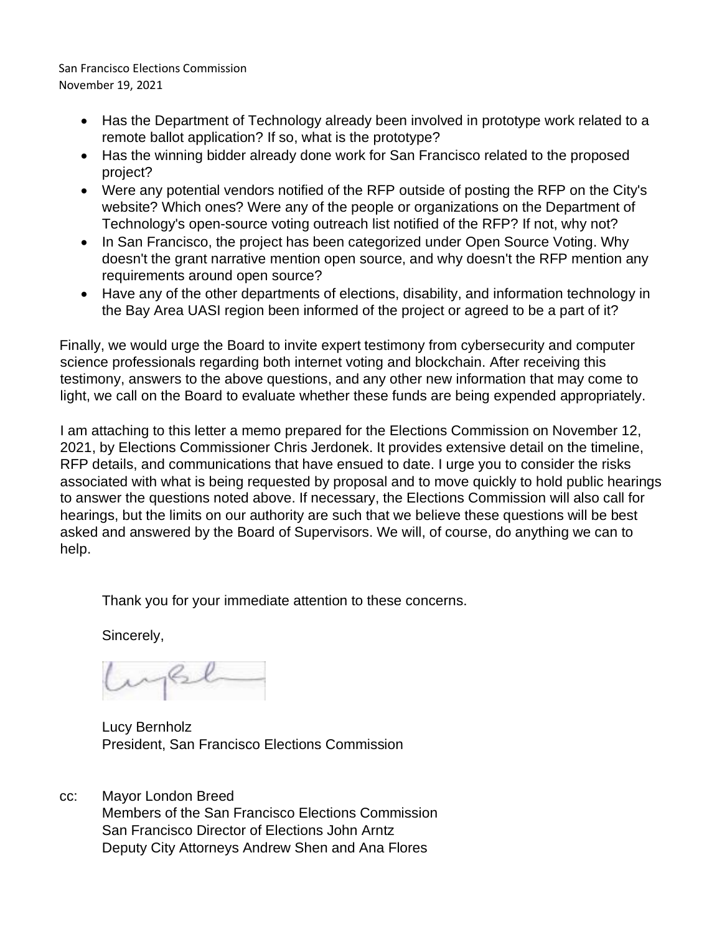- Has the Department of Technology already been involved in prototype work related to a remote ballot application? If so, what is the prototype?
- Has the winning bidder already done work for San Francisco related to the proposed project?
- Were any potential vendors notified of the RFP outside of posting the RFP on the City's website? Which ones? Were any of the people or organizations on the Department of Technology's open-source voting outreach list notified of the RFP? If not, why not?
- In San Francisco, the project has been categorized under Open Source Voting. Why doesn't the grant narrative mention open source, and why doesn't the RFP mention any requirements around open source?
- Have any of the other departments of elections, disability, and information technology in the Bay Area UASI region been informed of the project or agreed to be a part of it?

Finally, we would urge the Board to invite expert testimony from cybersecurity and computer science professionals regarding both internet voting and blockchain. After receiving this testimony, answers to the above questions, and any other new information that may come to light, we call on the Board to evaluate whether these funds are being expended appropriately.

I am attaching to this letter a memo prepared for the Elections Commission on November 12, 2021, by Elections Commissioner Chris Jerdonek. It provides extensive detail on the timeline, RFP details, and communications that have ensued to date. I urge you to consider the risks associated with what is being requested by proposal and to move quickly to hold public hearings to answer the questions noted above. If necessary, the Elections Commission will also call for hearings, but the limits on our authority are such that we believe these questions will be best asked and answered by the Board of Supervisors. We will, of course, do anything we can to help.

Thank you for your immediate attention to these concerns.

Sincerely,

Lucy Bernholz President, San Francisco Elections Commission

cc: Mayor London Breed Members of the San Francisco Elections Commission San Francisco Director of Elections John Arntz Deputy City Attorneys Andrew Shen and Ana Flores